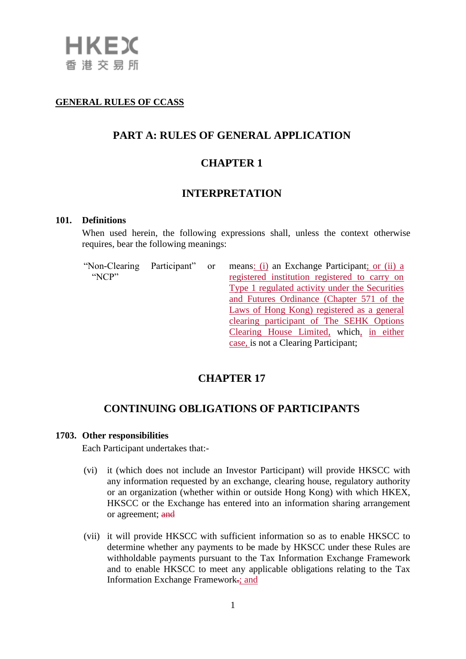

### **GENERAL RULES OF CCASS**

### **PART A: RULES OF GENERAL APPLICATION**

## **CHAPTER 1**

### **INTERPRETATION**

#### **101. Definitions**

When used herein, the following expressions shall, unless the context otherwise requires, bear the following meanings:

"Non-Clearing Participant" or "NCP"

means: (i) an Exchange Participant; or (ii) a registered institution registered to carry on Type 1 regulated activity under the Securities and Futures Ordinance (Chapter 571 of the Laws of Hong Kong) registered as a general clearing participant of The SEHK Options Clearing House Limited, which, in either case, is not a Clearing Participant;

### **CHAPTER 17**

## **CONTINUING OBLIGATIONS OF PARTICIPANTS**

#### **1703. Other responsibilities**

Each Participant undertakes that:-

- (vi) it (which does not include an Investor Participant) will provide HKSCC with any information requested by an exchange, clearing house, regulatory authority or an organization (whether within or outside Hong Kong) with which HKEX, HKSCC or the Exchange has entered into an information sharing arrangement or agreement; and
- (vii) it will provide HKSCC with sufficient information so as to enable HKSCC to determine whether any payments to be made by HKSCC under these Rules are withholdable payments pursuant to the Tax Information Exchange Framework and to enable HKSCC to meet any applicable obligations relating to the Tax Information Exchange Framework-: and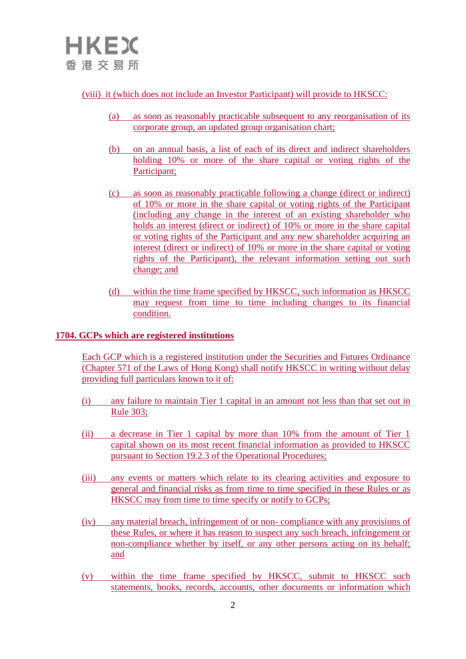## (viii) it (which does not include an Investor Participant) will provide to HKSCC:

- (a) as soon as reasonably practicable subsequent to any reorganisation of its corporate group, an updated group organisation chart;
- (b) on an annual basis, a list of each of its direct and indirect shareholders holding 10% or more of the share capital or voting rights of the Participant;
- (c) as soon as reasonably practicable following a change (direct or indirect) of 10% or more in the share capital or voting rights of the Participant (including any change in the interest of an existing shareholder who holds an interest (direct or indirect) of 10% or more in the share capital or voting rights of the Participant and any new shareholder acquiring an interest (direct or indirect) of 10% or more in the share capital or voting rights of the Participant), the relevant information setting out such change; and
- (d) within the time frame specified by HKSCC, such information as HKSCC may request from time to time including changes to its financial condition.

### **1704. GCPs which are registered institutions**

Each GCP which is a registered institution under the Securities and Futures Ordinance (Chapter 571 of the Laws of Hong Kong) shall notify HKSCC in writing without delay providing full particulars known to it of:

- (i) any failure to maintain Tier 1 capital in an amount not less than that set out in Rule 303;
- (ii) a decrease in Tier 1 capital by more than 10% from the amount of Tier 1 capital shown on its most recent financial information as provided to HKSCC pursuant to Section 19.2.3 of the Operational Procedures;
- (iii) any events or matters which relate to its clearing activities and exposure to general and financial risks as from time to time specified in these Rules or as HKSCC may from time to time specify or notify to GCPs;
- (iv) any material breach, infringement of or non- compliance with any provisions of these Rules, or where it has reason to suspect any such breach, infringement or non-compliance whether by itself, or any other persons acting on its behalf; and
- (v) within the time frame specified by HKSCC, submit to HKSCC such statements, books, records, accounts, other documents or information which